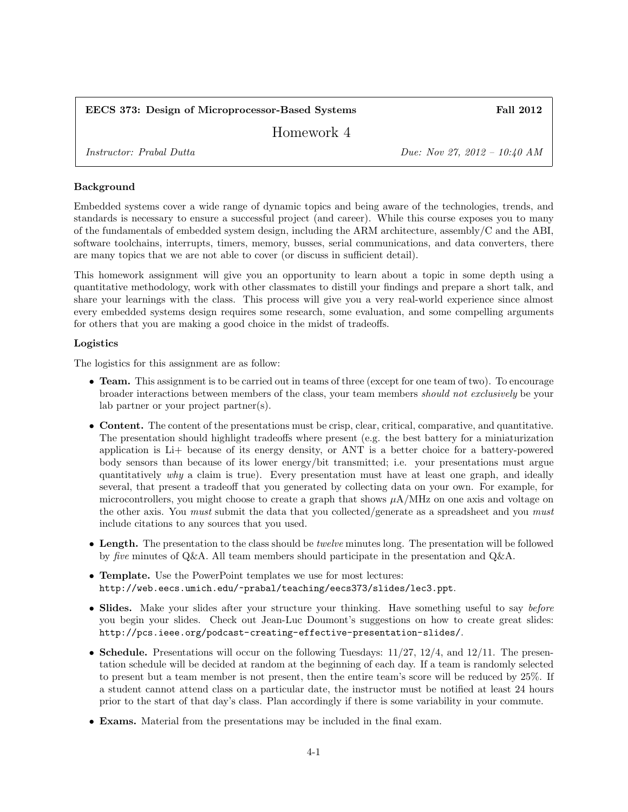## EECS 373: Design of Microprocessor-Based Systems Fall 2012

Homework 4

Instructor: Prabal Dutta Due: Nov 27, 2012 – 10:40 AM

## Background

Embedded systems cover a wide range of dynamic topics and being aware of the technologies, trends, and standards is necessary to ensure a successful project (and career). While this course exposes you to many of the fundamentals of embedded system design, including the ARM architecture, assembly/C and the ABI, software toolchains, interrupts, timers, memory, busses, serial communications, and data converters, there are many topics that we are not able to cover (or discuss in sufficient detail).

This homework assignment will give you an opportunity to learn about a topic in some depth using a quantitative methodology, work with other classmates to distill your findings and prepare a short talk, and share your learnings with the class. This process will give you a very real-world experience since almost every embedded systems design requires some research, some evaluation, and some compelling arguments for others that you are making a good choice in the midst of tradeoffs.

# Logistics

The logistics for this assignment are as follow:

- Team. This assignment is to be carried out in teams of three (except for one team of two). To encourage broader interactions between members of the class, your team members should not exclusively be your lab partner or your project partner(s).
- Content. The content of the presentations must be crisp, clear, critical, comparative, and quantitative. The presentation should highlight tradeoffs where present (e.g. the best battery for a miniaturization application is Li+ because of its energy density, or ANT is a better choice for a battery-powered body sensors than because of its lower energy/bit transmitted; i.e. your presentations must argue quantitatively why a claim is true). Every presentation must have at least one graph, and ideally several, that present a tradeoff that you generated by collecting data on your own. For example, for microcontrollers, you might choose to create a graph that shows  $\mu A/MHz$  on one axis and voltage on the other axis. You must submit the data that you collected/generate as a spreadsheet and you must include citations to any sources that you used.
- Length. The presentation to the class should be *twelve* minutes long. The presentation will be followed by five minutes of Q&A. All team members should participate in the presentation and Q&A.
- Template. Use the PowerPoint templates we use for most lectures: http://web.eecs.umich.edu/~prabal/teaching/eecs373/slides/lec3.ppt.
- Slides. Make your slides after your structure your thinking. Have something useful to say before you begin your slides. Check out Jean-Luc Doumont's suggestions on how to create great slides: http://pcs.ieee.org/podcast-creating-effective-presentation-slides/.
- Schedule. Presentations will occur on the following Tuesdays:  $11/27$ ,  $12/4$ , and  $12/11$ . The presentation schedule will be decided at random at the beginning of each day. If a team is randomly selected to present but a team member is not present, then the entire team's score will be reduced by 25%. If a student cannot attend class on a particular date, the instructor must be notified at least 24 hours prior to the start of that day's class. Plan accordingly if there is some variability in your commute.
- Exams. Material from the presentations may be included in the final exam.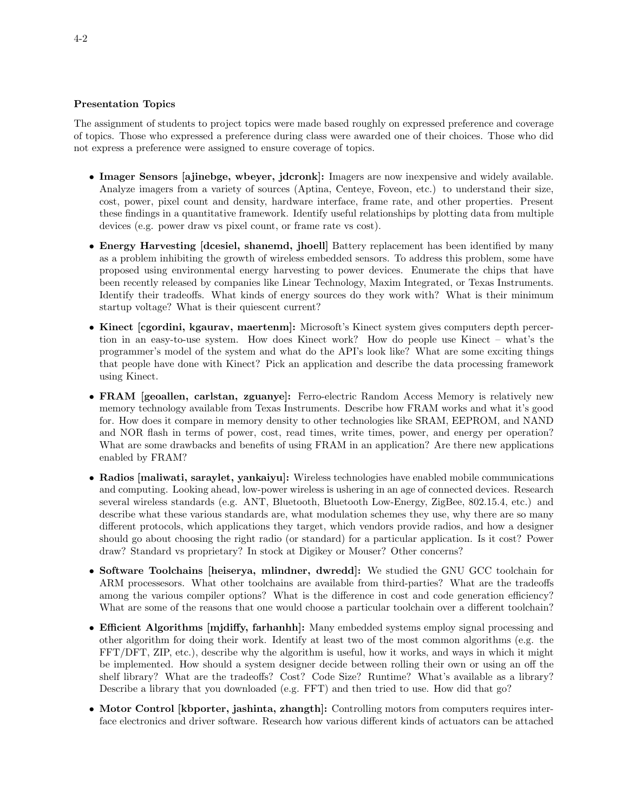### Presentation Topics

The assignment of students to project topics were made based roughly on expressed preference and coverage of topics. Those who expressed a preference during class were awarded one of their choices. Those who did not express a preference were assigned to ensure coverage of topics.

- Imager Sensors [ajinebge, wbeyer, jdcronk]: Imagers are now inexpensive and widely available. Analyze imagers from a variety of sources (Aptina, Centeye, Foveon, etc.) to understand their size, cost, power, pixel count and density, hardware interface, frame rate, and other properties. Present these findings in a quantitative framework. Identify useful relationships by plotting data from multiple devices (e.g. power draw vs pixel count, or frame rate vs cost).
- Energy Harvesting [dcesiel, shanemd, jhoell] Battery replacement has been identified by many as a problem inhibiting the growth of wireless embedded sensors. To address this problem, some have proposed using environmental energy harvesting to power devices. Enumerate the chips that have been recently released by companies like Linear Technology, Maxim Integrated, or Texas Instruments. Identify their tradeoffs. What kinds of energy sources do they work with? What is their minimum startup voltage? What is their quiescent current?
- Kinect [cgordini, kgaurav, maertenm]: Microsoft's Kinect system gives computers depth percertion in an easy-to-use system. How does Kinect work? How do people use Kinect – what's the programmer's model of the system and what do the API's look like? What are some exciting things that people have done with Kinect? Pick an application and describe the data processing framework using Kinect.
- FRAM [geoallen, carlstan, zguanye]: Ferro-electric Random Access Memory is relatively new memory technology available from Texas Instruments. Describe how FRAM works and what it's good for. How does it compare in memory density to other technologies like SRAM, EEPROM, and NAND and NOR flash in terms of power, cost, read times, write times, power, and energy per operation? What are some drawbacks and benefits of using FRAM in an application? Are there new applications enabled by FRAM?
- Radios [maliwati, saraylet, yankaiyu]: Wireless technologies have enabled mobile communications and computing. Looking ahead, low-power wireless is ushering in an age of connected devices. Research several wireless standards (e.g. ANT, Bluetooth, Bluetooth Low-Energy, ZigBee, 802.15.4, etc.) and describe what these various standards are, what modulation schemes they use, why there are so many different protocols, which applications they target, which vendors provide radios, and how a designer should go about choosing the right radio (or standard) for a particular application. Is it cost? Power draw? Standard vs proprietary? In stock at Digikey or Mouser? Other concerns?
- Software Toolchains [heiserya, mlindner, dwredd]: We studied the GNU GCC toolchain for ARM processesors. What other toolchains are available from third-parties? What are the tradeoffs among the various compiler options? What is the difference in cost and code generation efficiency? What are some of the reasons that one would choose a particular toolchain over a different toolchain?
- Efficient Algorithms [mjdiffy, farhanhh]: Many embedded systems employ signal processing and other algorithm for doing their work. Identify at least two of the most common algorithms (e.g. the FFT/DFT, ZIP, etc.), describe why the algorithm is useful, how it works, and ways in which it might be implemented. How should a system designer decide between rolling their own or using an off the shelf library? What are the tradeoffs? Cost? Code Size? Runtime? What's available as a library? Describe a library that you downloaded (e.g. FFT) and then tried to use. How did that go?
- Motor Control [kbporter, jashinta, zhangth]: Controlling motors from computers requires interface electronics and driver software. Research how various different kinds of actuators can be attached